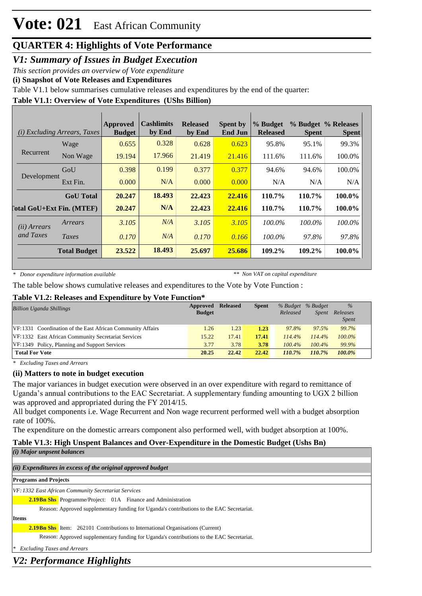*V1: Summary of Issues in Budget Execution*

*This section provides an overview of Vote expenditure*

**(i) Snapshot of Vote Releases and Expenditures**

Table V1.1 below summarises cumulative releases and expenditures by the end of the quarter:

#### **Table V1.1: Overview of Vote Expenditures (UShs Billion)**

|                       | <i>(i)</i> Excluding Arrears, Taxes | <b>Approved</b><br><b>Budget</b> | Cashlimits<br>by End | <b>Released</b><br>by End | <b>Spent by</b><br><b>End Jun</b> | % Budget<br><b>Released</b> | <b>Spent</b> | % Budget % Releases<br><b>Spent</b> |
|-----------------------|-------------------------------------|----------------------------------|----------------------|---------------------------|-----------------------------------|-----------------------------|--------------|-------------------------------------|
|                       | Wage                                | 0.655                            | 0.328                | 0.628                     | 0.623                             | 95.8%                       | 95.1%        | 99.3%                               |
| Recurrent             | Non Wage                            | 19.194                           | 17.966               | 21.419                    | 21.416                            | 111.6%                      | 111.6%       | 100.0%                              |
|                       | GoU                                 | 0.398                            | 0.199                | 0.377                     | 0.377                             | 94.6%                       | 94.6%        | 100.0%                              |
| Development           | Ext Fin.                            | 0.000                            | N/A                  | 0.000                     | 0.000                             | N/A                         | N/A          | N/A                                 |
|                       | <b>GoU</b> Total                    | 20.247                           | 18.493               | 22.423                    | 22,416                            | 110.7%                      | 110.7%       | 100.0%                              |
|                       | [otal GoU+Ext Fin. (MTEF)           | 20.247                           | N/A                  | 22.423                    | 22,416                            | 110.7%                      | 110.7%       | <b>100.0%</b>                       |
| ( <i>ii</i> ) Arrears | Arrears                             | 3.105                            | N/A                  | 3.105                     | 3.105                             | 100.0%                      | $100.0\%$    | $100.0\%$                           |
| and Taxes             | Taxes                               | 0.170                            | N/A                  | 0.170                     | 0.166                             | 100.0%                      | 97.8%        | 97.8%                               |
|                       | <b>Total Budget</b>                 | 23.522                           | 18.493               | 25.697                    | 25.686                            | 109.2%                      | 109.2%       | 100.0%                              |

*\* Donor expenditure information available*

*\*\* Non VAT on capital expenditure*

The table below shows cumulative releases and expenditures to the Vote by Vote Function :

#### **Table V1.2: Releases and Expenditure by Vote Function\***

| <b>Billion Uganda Shillings</b>                            | Approved<br><b>Budget</b> | <b>Released</b> | <b>Spent</b> | % Budget % Budget<br>Released | <i>Spent</i> | $\%$<br>Releases<br><i>Spent</i> |
|------------------------------------------------------------|---------------------------|-----------------|--------------|-------------------------------|--------------|----------------------------------|
| VF:1331 Coordination of the East African Community Affairs | 1.26                      | 1.23            | 1.23         | 97.8%                         | 97.5%        | 99.7%                            |
| VF:1332 East African Community Secretariat Services        | 15.22                     | 17.41           | 17.41        | 114.4%                        | 114.4%       | $100.0\%$                        |
| VF:1349 Policy, Planning and Support Services              | 3.77                      | 3.78            | 3.78         | $100.4\%$                     | $100.4\%$    | 99.9%                            |
| <b>Total For Vote</b>                                      | 20.25                     | 22.42           | 22.42        | 110.7%                        | 110.7%       | $100.0\%$                        |

*\* Excluding Taxes and Arrears*

#### **(ii) Matters to note in budget execution**

The major variances in budget execution were observed in an over expenditure with regard to remittance of Uganda's annual contributions to the EAC Secretariat. A supplementary funding amounting to UGX 2 billion was approved and appropriated during the FY 2014/15.

All budget components i.e. Wage Recurrent and Non wage recurrent performed well with a budget absorption rate of 100%.

The expenditure on the domestic arrears component also performed well, with budget absorption at 100%.

## **Table V1.3: High Unspent Balances and Over-Expenditure in the Domestic Budget (Ushs Bn)**

*(i) Major unpsent balances*

| (ii) Expenditures in excess of the original approved budget                               |
|-------------------------------------------------------------------------------------------|
| <b>Programs and Projects</b>                                                              |
| VF: 1332 East African Community Secretariat Services                                      |
| <b>2.19 Bn Shs</b> Programme/Project: 01A Finance and Administration                      |
| Reason: Approved supplementary funding for Uganda's contributions to the EAC Secretariat. |
| <b>Items</b>                                                                              |
| <b>2.19 Bn Shs</b> Item: 262101 Contributions to International Organisations (Current)    |
| Reason: Approved supplementary funding for Uganda's contributions to the EAC Secretariat. |
| <b>Excluding Taxes and Arrears</b><br>$\ast$                                              |
| V2: Performance Highlights                                                                |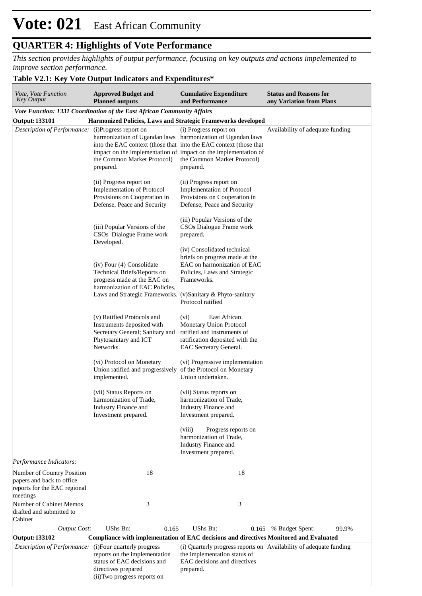# **Vote: 021** East African Community

# **QUARTER 4: Highlights of Vote Performance**

*This section provides highlights of output performance, focusing on key outputs and actions impelemented to improve section performance.*

### **Table V2.1: Key Vote Output Indicators and Expenditures\***

| <i>Vote, Vote Function</i><br><b>Key Output</b>                                                     | <b>Approved Budget and</b><br><b>Planned outputs</b>                                                                                                                                                   | <b>Cumulative Expenditure</b><br>and Performance                                                                                            | <b>Status and Reasons for</b><br>any Variation from Plans          |
|-----------------------------------------------------------------------------------------------------|--------------------------------------------------------------------------------------------------------------------------------------------------------------------------------------------------------|---------------------------------------------------------------------------------------------------------------------------------------------|--------------------------------------------------------------------|
|                                                                                                     | Vote Function: 1331 Coordination of the East African Community Affairs                                                                                                                                 |                                                                                                                                             |                                                                    |
| <b>Output: 133101</b>                                                                               | Harmonized Policies, Laws and Strategic Frameworks developed                                                                                                                                           |                                                                                                                                             |                                                                    |
| Description of Performance:                                                                         | (i) Progress report on<br>harmonization of Ugandan laws harmonization of Ugandan laws<br>into the EAC context (those that into the EAC context (those that<br>the Common Market Protocol)<br>prepared. | (i) Progress report on<br>impact on the implementation of impact on the implementation of<br>the Common Market Protocol)<br>prepared.       | Availability of adequate funding                                   |
|                                                                                                     | (ii) Progress report on<br><b>Implementation of Protocol</b><br>Provisions on Cooperation in<br>Defense, Peace and Security                                                                            | (ii) Progress report on<br><b>Implementation of Protocol</b><br>Provisions on Cooperation in<br>Defense, Peace and Security                 |                                                                    |
|                                                                                                     | (iii) Popular Versions of the<br>CSO <sub>s</sub> Dialogue Frame work<br>Developed.                                                                                                                    | (iii) Popular Versions of the<br>CSOs Dialogue Frame work<br>prepared.<br>(iv) Consolidated technical                                       |                                                                    |
|                                                                                                     | (iv) Four (4) Consolidate<br>Technical Briefs/Reports on<br>progress made at the EAC on<br>harmonization of EAC Policies,<br>Laws and Strategic Frameworks. (v)Sanitary & Phyto-sanitary               | briefs on progress made at the<br>EAC on harmonization of EAC<br>Policies, Laws and Strategic<br>Frameworks.<br>Protocol ratified           |                                                                    |
|                                                                                                     | (v) Ratified Protocols and<br>Instruments deposited with<br>Secretary General; Sanitary and<br>Phytosanitary and ICT<br>Networks.                                                                      | East African<br>(vi)<br>Monetary Union Protocol<br>ratified and instruments of<br>ratification deposited with the<br>EAC Secretary General. |                                                                    |
|                                                                                                     | (vi) Protocol on Monetary<br>Union ratified and progressively of the Protocol on Monetary<br>implemented.                                                                                              | (vi) Progressive implementation<br>Union undertaken.                                                                                        |                                                                    |
|                                                                                                     | (vii) Status Reports on<br>harmonization of Trade,<br>Industry Finance and<br>Investment prepared.                                                                                                     | (vii) Status reports on<br>harmonization of Trade,<br>Industry Finance and<br>Investment prepared.                                          |                                                                    |
|                                                                                                     |                                                                                                                                                                                                        | (viii)<br>Progress reports on<br>harmonization of Trade,<br>Industry Finance and<br>Investment prepared.                                    |                                                                    |
| Performance Indicators:                                                                             |                                                                                                                                                                                                        |                                                                                                                                             |                                                                    |
| Number of Country Position<br>papers and back to office<br>reports for the EAC regional<br>meetings | 18                                                                                                                                                                                                     | 18                                                                                                                                          |                                                                    |
| Number of Cabinet Memos<br>drafted and submitted to<br>Cabinet                                      | 3                                                                                                                                                                                                      | 3                                                                                                                                           |                                                                    |
| <b>Output Cost:</b>                                                                                 | UShs Bn:<br>0.165                                                                                                                                                                                      | UShs Bn:                                                                                                                                    | 99.9%<br>0.165 % Budget Spent:                                     |
| <b>Output: 133102</b>                                                                               | <b>Compliance with implementation of EAC decisions and directives Monitored and Evaluated</b>                                                                                                          |                                                                                                                                             |                                                                    |
| Description of Performance:                                                                         | (i) Four quarterly progress<br>reports on the implementation<br>status of EAC decisions and<br>directives prepared<br>(ii) Two progress reports on                                                     | the implementation status of<br>EAC decisions and directives<br>prepared.                                                                   | (i) Quarterly progress reports on Availability of adequate funding |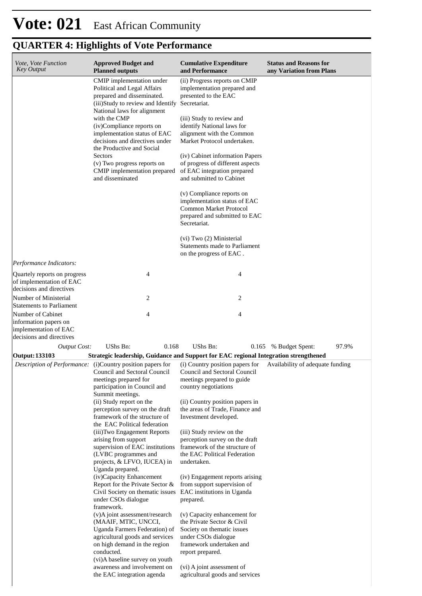| Vote, Vote Function<br><b>Key Output</b>                                                        | <b>Approved Budget and</b><br><b>Planned outputs</b>                                                                                                                                                                                                                                                                                                                                                                                                                                                                                                                                                                                                                                                                                                                                                                  | <b>Cumulative Expenditure</b><br>and Performance                                                                                                                                                                                                                                                                                                                                                                                                                                                                                                                                                  | <b>Status and Reasons for</b><br>any Variation from Plans |
|-------------------------------------------------------------------------------------------------|-----------------------------------------------------------------------------------------------------------------------------------------------------------------------------------------------------------------------------------------------------------------------------------------------------------------------------------------------------------------------------------------------------------------------------------------------------------------------------------------------------------------------------------------------------------------------------------------------------------------------------------------------------------------------------------------------------------------------------------------------------------------------------------------------------------------------|---------------------------------------------------------------------------------------------------------------------------------------------------------------------------------------------------------------------------------------------------------------------------------------------------------------------------------------------------------------------------------------------------------------------------------------------------------------------------------------------------------------------------------------------------------------------------------------------------|-----------------------------------------------------------|
|                                                                                                 | CMIP implementation under<br>Political and Legal Affairs<br>prepared and disseminated.<br>(iii)Study to review and Identify Secretariat.<br>National laws for alignment<br>with the CMP<br>(iv)Compliance reports on<br>implementation status of EAC<br>decisions and directives under<br>the Productive and Social<br>Sectors<br>(v) Two progress reports on<br>CMIP implementation prepared<br>and disseminated                                                                                                                                                                                                                                                                                                                                                                                                     | (ii) Progress reports on CMIP<br>implementation prepared and<br>presented to the EAC<br>(iii) Study to review and<br>identify National laws for<br>alignment with the Common<br>Market Protocol undertaken.<br>(iv) Cabinet information Papers<br>of progress of different aspects<br>of EAC integration prepared<br>and submitted to Cabinet<br>(v) Compliance reports on<br>implementation status of EAC<br>Common Market Protocol<br>prepared and submitted to EAC<br>Secretariat.<br>(vi) Two (2) Ministerial<br>Statements made to Parliament                                                |                                                           |
| Performance Indicators:                                                                         |                                                                                                                                                                                                                                                                                                                                                                                                                                                                                                                                                                                                                                                                                                                                                                                                                       | on the progress of EAC.                                                                                                                                                                                                                                                                                                                                                                                                                                                                                                                                                                           |                                                           |
| Quartely reports on progress<br>of implementation of EAC<br>decisions and directives            | 4                                                                                                                                                                                                                                                                                                                                                                                                                                                                                                                                                                                                                                                                                                                                                                                                                     | 4                                                                                                                                                                                                                                                                                                                                                                                                                                                                                                                                                                                                 |                                                           |
| Number of Ministerial<br><b>Statements to Parliament</b>                                        | 2                                                                                                                                                                                                                                                                                                                                                                                                                                                                                                                                                                                                                                                                                                                                                                                                                     | 2                                                                                                                                                                                                                                                                                                                                                                                                                                                                                                                                                                                                 |                                                           |
| Number of Cabinet<br>information papers on<br>implementation of EAC<br>decisions and directives | 4                                                                                                                                                                                                                                                                                                                                                                                                                                                                                                                                                                                                                                                                                                                                                                                                                     | 4                                                                                                                                                                                                                                                                                                                                                                                                                                                                                                                                                                                                 |                                                           |
| <b>Output Cost:</b>                                                                             | 0.168<br>UShs Bn:                                                                                                                                                                                                                                                                                                                                                                                                                                                                                                                                                                                                                                                                                                                                                                                                     | UShs Bn:                                                                                                                                                                                                                                                                                                                                                                                                                                                                                                                                                                                          | 97.9%<br>0.165 % Budget Spent:                            |
| <b>Output: 133103</b>                                                                           | Strategic leadership, Guidance and Support for EAC regional Integration strengthened                                                                                                                                                                                                                                                                                                                                                                                                                                                                                                                                                                                                                                                                                                                                  |                                                                                                                                                                                                                                                                                                                                                                                                                                                                                                                                                                                                   |                                                           |
|                                                                                                 | <i>Description of Performance</i> : (i)Country position papers for<br>Council and Sectoral Council<br>meetings prepared for<br>participation in Council and<br>Summit meetings.<br>(ii) Study report on the<br>perception survey on the draft<br>framework of the structure of<br>the EAC Political federation<br>(iii) Two Engagement Reports<br>arising from support<br>supervision of EAC institutions<br>(LVBC programmes and<br>projects, & LFVO, IUCEA) in<br>Uganda prepared.<br>(iv)Capacity Enhancement<br>Report for the Private Sector &<br>Civil Society on thematic issues EAC institutions in Uganda<br>under CSOs dialogue<br>framework.<br>(v)A joint assessment/research<br>(MAAIF, MTIC, UNCCI,<br>Uganda Farmers Federation) of<br>agricultural goods and services<br>on high demand in the region | (i) Country position papers for<br>Council and Sectoral Council<br>meetings prepared to guide<br>country negotiations<br>(ii) Country position papers in<br>the areas of Trade, Finance and<br>Investment developed.<br>(iii) Study review on the<br>perception survey on the draft<br>framework of the structure of<br>the EAC Political Federation<br>undertaken.<br>(iv) Engagement reports arising<br>from support supervision of<br>prepared.<br>(v) Capacity enhancement for<br>the Private Sector & Civil<br>Society on thematic issues<br>under CSOs dialogue<br>framework undertaken and | Availability of adequate funding                          |
|                                                                                                 | conducted.<br>(vi)A baseline survey on youth<br>awareness and involvement on<br>the EAC integration agenda                                                                                                                                                                                                                                                                                                                                                                                                                                                                                                                                                                                                                                                                                                            | report prepared.<br>(vi) A joint assessment of<br>agricultural goods and services                                                                                                                                                                                                                                                                                                                                                                                                                                                                                                                 |                                                           |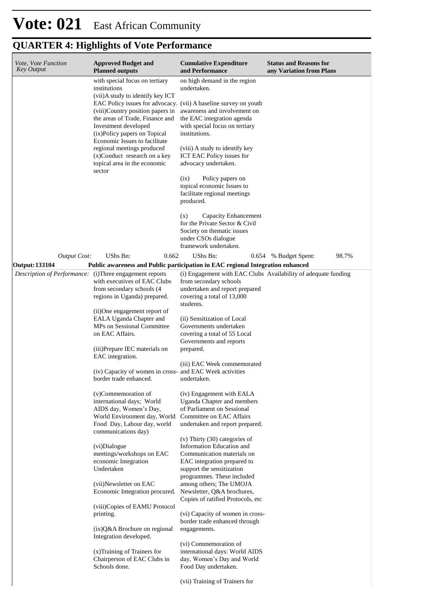| Vote, Vote Function<br>Key Output | <b>Approved Budget and</b><br><b>Planned outputs</b>                                                                                                                                                                                                                                                                                                                                                                                                                                                                                                                                                                                                                                                                                              | <b>Cumulative Expenditure</b><br>and Performance                                                                                                                                                                                                                                                                                                                                                                                                                                                                                                                                                                                                                                                                                                                                                         | <b>Status and Reasons for</b><br>any Variation from Plans      |
|-----------------------------------|---------------------------------------------------------------------------------------------------------------------------------------------------------------------------------------------------------------------------------------------------------------------------------------------------------------------------------------------------------------------------------------------------------------------------------------------------------------------------------------------------------------------------------------------------------------------------------------------------------------------------------------------------------------------------------------------------------------------------------------------------|----------------------------------------------------------------------------------------------------------------------------------------------------------------------------------------------------------------------------------------------------------------------------------------------------------------------------------------------------------------------------------------------------------------------------------------------------------------------------------------------------------------------------------------------------------------------------------------------------------------------------------------------------------------------------------------------------------------------------------------------------------------------------------------------------------|----------------------------------------------------------------|
|                                   | with special focus on tertiary<br>institutions<br>(vii)A study to identify key ICT<br>EAC Policy issues for advocacy. (vii) A baseline survey on youth<br>(viii)Country position papers in<br>the areas of Trade, Finance and<br>Investment developed<br>(ix)Policy papers on Topical<br>Economic Issues to facilitate<br>regional meetings produced<br>(x)Conduct research on a key<br>topical area in the economic<br>sector                                                                                                                                                                                                                                                                                                                    | on high demand in the region<br>undertaken.<br>awareness and involvement on<br>the EAC integration agenda<br>with special focus on tertiary<br>institutions.<br>(viii) A study to identify key<br>ICT EAC Policy issues for<br>advocacy undertaken.<br>Policy papers on<br>(ix)<br>topical economic Issues to<br>facilitate regional meetings<br>produced.<br>Capacity Enhancement<br>(x)<br>for the Private Sector & Civil<br>Society on thematic issues<br>under CSOs dialogue                                                                                                                                                                                                                                                                                                                         |                                                                |
| <b>Output Cost:</b>               | UShs Bn:<br>0.662                                                                                                                                                                                                                                                                                                                                                                                                                                                                                                                                                                                                                                                                                                                                 | framework undertaken.<br>UShs Bn:                                                                                                                                                                                                                                                                                                                                                                                                                                                                                                                                                                                                                                                                                                                                                                        | 98.7%<br>0.654 % Budget Spent:                                 |
| <b>Output: 133104</b>             | Public awareness and Public participation in EAC regional Integration enhanced                                                                                                                                                                                                                                                                                                                                                                                                                                                                                                                                                                                                                                                                    |                                                                                                                                                                                                                                                                                                                                                                                                                                                                                                                                                                                                                                                                                                                                                                                                          |                                                                |
| Description of Performance:       | (i) Three engagement reports<br>with executives of EAC Clubs<br>from secondary schools (4<br>regions in Uganda) prepared.<br>(ii)One engagement report of<br>EALA Uganda Chapter and<br>MPs on Sessional Committee<br>on EAC Affairs.<br>(iii)Prepare IEC materials on<br>EAC integration.<br>(iv) Capacity of women in cross- and EAC Week activities<br>border trade enhanced.<br>(v)Commemoration of<br>international days; World<br>AIDS day, Women's Day,<br>World Environment day, World<br>Food Day, Labour day, world<br>communications day)<br>(vi)Dialogue<br>meetings/workshops on EAC<br>economic Integration<br>Undertaken<br>(vii)Newsletter on EAC<br>Economic Integration procured.<br>(viii)Copies of EAMU Protocol<br>printing. | from secondary schools<br>undertaken and report prepared<br>covering a total of 13,000<br>students.<br>(ii) Sensitization of Local<br>Governments undertaken<br>covering a total of 55 Local<br>Governments and reports<br>prepared.<br>(iii) EAC Week commemorated<br>undertaken.<br>(iv) Engagement with EALA<br>Uganda Chapter and members<br>of Parliament on Sessional<br>Committee on EAC Affairs<br>undertaken and report prepared.<br>$(v)$ Thirty $(30)$ categories of<br>Information Education and<br>Communication materials on<br>EAC integration prepared to<br>support the sensitization<br>programmes. These included<br>among others; The UMOJA<br>Newsletter, Q&A brochures,<br>Copies of ratified Protocols, etc.<br>(vi) Capacity of women in cross-<br>border trade enhanced through | (i) Engagement with EAC Clubs Availability of adequate funding |
|                                   | $(ix)Q&A$ Brochure on regional<br>Integration developed.<br>(x) Training of Trainers for<br>Chairperson of EAC Clubs in<br>Schools done.                                                                                                                                                                                                                                                                                                                                                                                                                                                                                                                                                                                                          | engagements.<br>(vi) Commemoration of<br>international days: World AIDS<br>day, Women's Day and World<br>Food Day undertaken.<br>(vii) Training of Trainers for                                                                                                                                                                                                                                                                                                                                                                                                                                                                                                                                                                                                                                          |                                                                |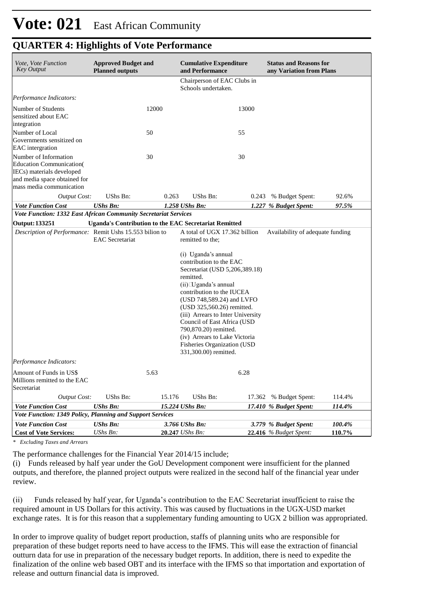| Vote, Vote Function<br><b>Key Output</b>                                                                                                           | <b>Approved Budget and</b><br><b>Planned outputs</b> |        | <b>Cumulative Expenditure</b><br>and Performance                                                                                                                                                                                                                                                                                                                                                                                                                 |       | <b>Status and Reasons for</b><br>any Variation from Plans |        |
|----------------------------------------------------------------------------------------------------------------------------------------------------|------------------------------------------------------|--------|------------------------------------------------------------------------------------------------------------------------------------------------------------------------------------------------------------------------------------------------------------------------------------------------------------------------------------------------------------------------------------------------------------------------------------------------------------------|-------|-----------------------------------------------------------|--------|
|                                                                                                                                                    |                                                      |        | Chairperson of EAC Clubs in<br>Schools undertaken.                                                                                                                                                                                                                                                                                                                                                                                                               |       |                                                           |        |
| Performance Indicators:                                                                                                                            |                                                      |        |                                                                                                                                                                                                                                                                                                                                                                                                                                                                  |       |                                                           |        |
| Number of Students<br>sensitized about EAC<br>integration                                                                                          |                                                      | 12000  |                                                                                                                                                                                                                                                                                                                                                                                                                                                                  | 13000 |                                                           |        |
| Number of Local<br>Governments sensitized on<br><b>EAC</b> intergration                                                                            |                                                      | 50     |                                                                                                                                                                                                                                                                                                                                                                                                                                                                  | 55    |                                                           |        |
| Number of Information<br><b>Education Communication</b> (<br>IECs) materials developed<br>and media space obtained for<br>mass media communication |                                                      | 30     |                                                                                                                                                                                                                                                                                                                                                                                                                                                                  | 30    |                                                           |        |
| <b>Output Cost:</b>                                                                                                                                | UShs Bn:                                             | 0.263  | UShs Bn:                                                                                                                                                                                                                                                                                                                                                                                                                                                         |       | 0.243 % Budget Spent:                                     | 92.6%  |
| <b>Vote Function Cost</b>                                                                                                                          | <b>UShs Bn:</b>                                      |        | 1.258 UShs Bn:                                                                                                                                                                                                                                                                                                                                                                                                                                                   |       | 1.227 % Budget Spent:                                     | 97.5%  |
| Vote Function: 1332 East African Community Secretariat Services                                                                                    |                                                      |        |                                                                                                                                                                                                                                                                                                                                                                                                                                                                  |       |                                                           |        |
| <b>Output: 133251</b>                                                                                                                              |                                                      |        | <b>Uganda's Contribution to the EAC Secretariat Remitted</b>                                                                                                                                                                                                                                                                                                                                                                                                     |       |                                                           |        |
| Description of Performance: Remit Ushs 15.553 bilion to<br>Performance Indicators:                                                                 | <b>EAC</b> Secretariat                               |        | A total of UGX 17.362 billion<br>remitted to the;<br>(i) Uganda's annual<br>contribution to the EAC<br>Secretariat (USD 5,206,389.18)<br>remitted.<br>$(ii)$ $\Box$ ganda's annual<br>contribution to the IUCEA<br>(USD 748,589.24) and LVFO<br>(USD 325,560.26) remitted.<br>(iii) Arrears to Inter University<br>Council of East Africa (USD<br>790,870.20) remitted.<br>(iv) Arrears to Lake Victoria<br>Fisheries Organization (USD<br>331,300.00) remitted. |       | Availability of adequate funding                          |        |
|                                                                                                                                                    |                                                      |        |                                                                                                                                                                                                                                                                                                                                                                                                                                                                  |       |                                                           |        |
| Amount of Funds in US\$<br>Millions remitted to the EAC<br>Secretariat                                                                             |                                                      | 5.63   |                                                                                                                                                                                                                                                                                                                                                                                                                                                                  | 6.28  |                                                           |        |
| <b>Output Cost:</b>                                                                                                                                | UShs Bn:                                             | 15.176 | UShs Bn:                                                                                                                                                                                                                                                                                                                                                                                                                                                         |       | 17.362 % Budget Spent:                                    | 114.4% |
| <b>Vote Function Cost</b>                                                                                                                          | <b>UShs Bn:</b>                                      |        | 15.224 UShs Bn:                                                                                                                                                                                                                                                                                                                                                                                                                                                  |       | 17.410 % Budget Spent:                                    | 114.4% |
| Vote Function: 1349 Policy, Planning and Support Services                                                                                          |                                                      |        |                                                                                                                                                                                                                                                                                                                                                                                                                                                                  |       |                                                           |        |
| <b>Vote Function Cost</b>                                                                                                                          | <b>UShs Bn:</b>                                      |        | 3.766 UShs Bn:                                                                                                                                                                                                                                                                                                                                                                                                                                                   |       | 3.779 % Budget Spent:                                     | 100.4% |
| <b>Cost of Vote Services:</b>                                                                                                                      | UShs Bn:                                             |        | 20.247 UShs Bn:                                                                                                                                                                                                                                                                                                                                                                                                                                                  |       | 22.416 % Budget Spent:                                    | 110.7% |

*\* Excluding Taxes and Arrears*

The performance challenges for the Financial Year 2014/15 include;

(i) Funds released by half year under the GoU Development component were insufficient for the planned outputs, and therefore, the planned project outputs were realized in the second half of the financial year under review.

(ii) Funds released by half year, for Uganda's contribution to the EAC Secretariat insufficient to raise the required amount in US Dollars for this activity. This was caused by fluctuations in the UGX-USD market exchange rates. It is for this reason that a supplementary funding amounting to UGX 2 billion was appropriated.

In order to improve quality of budget report production, staffs of planning units who are responsible for preparation of these budget reports need to have access to the IFMS. This will ease the extraction of financial outturn data for use in preparation of the necessary budget reports. In addition, there is need to expedite the finalization of the online web based OBT and its interface with the IFMS so that importation and exportation of release and outturn financial data is improved.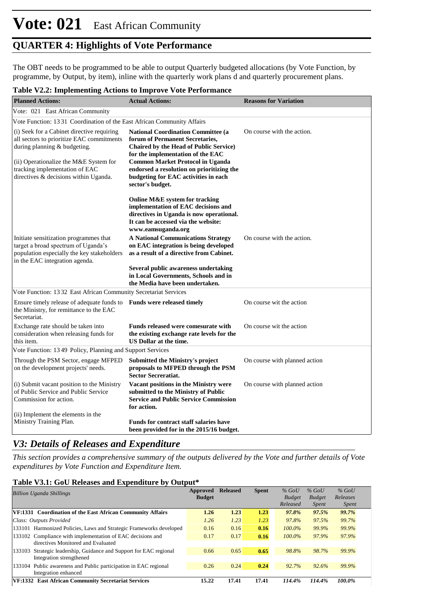The OBT needs to be programmed to be able to output Quarterly budgeted allocations (by Vote Function, by programme, by Output, by item), inline with the quarterly work plans d and quarterly procurement plans.

#### **Table V2.2: Implementing Actions to Improve Vote Performance**

| <b>Planned Actions:</b>                                                                                                                                                                                                                      | <b>Actual Actions:</b>                                                                                                                                                                                                                                                                                                                                                                                                              | <b>Reasons for Variation</b>  |
|----------------------------------------------------------------------------------------------------------------------------------------------------------------------------------------------------------------------------------------------|-------------------------------------------------------------------------------------------------------------------------------------------------------------------------------------------------------------------------------------------------------------------------------------------------------------------------------------------------------------------------------------------------------------------------------------|-------------------------------|
| Vote: 021 East African Community                                                                                                                                                                                                             |                                                                                                                                                                                                                                                                                                                                                                                                                                     |                               |
| Vote Function: 1331 Coordination of the East African Community Affairs                                                                                                                                                                       |                                                                                                                                                                                                                                                                                                                                                                                                                                     |                               |
| (i) Seek for a Cabinet directive requiring<br>all sectors to prioritize EAC commitments<br>during planning & budgeting.<br>(ii) Operationalize the M&E System for<br>tracking implementation of EAC<br>directives & decisions within Uganda. | <b>National Coordination Committee (a</b><br>forum of Permanent Secretaries,<br><b>Chaired by the Head of Public Service)</b><br>for the implementation of the EAC<br><b>Common Market Protocol in Uganda</b><br>endorsed a resolution on prioritizing the<br>budgeting for EAC activities in each<br>sector's budget.                                                                                                              | On course with the action.    |
| Initiate sensitization programmes that<br>target a broad spectrum of Uganda's<br>population especially the key stakeholders<br>in the EAC integration agenda.                                                                                | Online M&E system for tracking<br>implementation of EAC decisions and<br>directives in Uganda is now operational.<br>It can be accessed via the website:<br>www.eamsuganda.org<br><b>A National Communications Strategy</b><br>on EAC integration is being developed<br>as a result of a directive from Cabinet.<br>Several public awareness undertaking<br>in Local Governments, Schools and in<br>the Media have been undertaken. | On course with the action.    |
| Vote Function: 13 32 East African Community Secretariat Services                                                                                                                                                                             |                                                                                                                                                                                                                                                                                                                                                                                                                                     |                               |
| Ensure timely release of adequate funds to Funds were released timely<br>the Ministry, for remittance to the EAC<br>Secretariat.                                                                                                             |                                                                                                                                                                                                                                                                                                                                                                                                                                     | On course wit the action      |
| Exchange rate should be taken into<br>consideration when releasing funds for<br>this item.                                                                                                                                                   | Funds released were comesurate with<br>the existing exchange rate levels for the<br>US Dollar at the time.                                                                                                                                                                                                                                                                                                                          | On course wit the action      |
| Vote Function: 1349 Policy, Planning and Support Services                                                                                                                                                                                    |                                                                                                                                                                                                                                                                                                                                                                                                                                     |                               |
| Through the PSM Sector, engage MFPED<br>on the development projects' needs.                                                                                                                                                                  | <b>Submitted the Ministry's project</b><br>proposals to MFPED through the PSM<br><b>Sector Secreratiat.</b>                                                                                                                                                                                                                                                                                                                         | On course with planned action |
| (i) Submit vacant position to the Ministry<br>of Public Service and Public Service<br>Commission for action.                                                                                                                                 | Vacant positions in the Ministry were<br>submitted to the Ministry of Public<br><b>Service and Public Service Commission</b><br>for action.                                                                                                                                                                                                                                                                                         | On course with planned action |
| (ii) Implement the elements in the<br>Ministry Training Plan.                                                                                                                                                                                | <b>Funds for contract staff salaries have</b><br>been provided for in the 2015/16 budget.                                                                                                                                                                                                                                                                                                                                           |                               |

## *V3: Details of Releases and Expenditure*

*This section provides a comprehensive summary of the outputs delivered by the Vote and further details of Vote expenditures by Vote Function and Expenditure Item.*

#### **Table V3.1: GoU Releases and Expenditure by Output\***

| <b>Billion Uganda Shillings</b>                                                                   | Approved<br><b>Budget</b> | <b>Released</b> | <b>Spent</b> | $%$ GoU<br><b>Budget</b><br>Released | $%$ GoU<br><b>Budget</b><br><i>Spent</i> | $%$ GoU<br>Releases<br><i>Spent</i> |
|---------------------------------------------------------------------------------------------------|---------------------------|-----------------|--------------|--------------------------------------|------------------------------------------|-------------------------------------|
| <b>VF:1331 Coordination of the East African Community Affairs</b>                                 | 1.26                      | 1.23            | 1.23         | 97.8%                                | 97.5%                                    | 99.7%                               |
| Class: Outputs Provided                                                                           | 1.26                      | 1.23            | 1.23         | 97.8%                                | 97.5%                                    | 99.7%                               |
| 133101 Harmonized Policies, Laws and Strategic Frameworks developed                               | 0.16                      | 0.16            | 0.16         | $100.0\%$                            | 99.9%                                    | 99.9%                               |
| 133102 Compliance with implementation of EAC decisions and<br>directives Monitored and Evaluated  | 0.17                      | 0.17            | 0.16         | $100.0\%$                            | 97.9%                                    | 97.9%                               |
| Strategic leadership, Guidance and Support for EAC regional<br>133103<br>Integration strengthened | 0.66                      | 0.65            | 0.65         | 98.8%                                | 98.7%                                    | 99.9%                               |
| Public awareness and Public participation in EAC regional<br>133104<br>Integration enhanced       | 0.26                      | 0.24            | 0.24         | 92.7%                                | 92.6%                                    | 99.9%                               |
| <b>VF:1332</b><br><b>East African Community Secretariat Services</b>                              | 15.22                     | 17.41           | 17.41        | 114.4%                               | 114.4%                                   | 100.0%                              |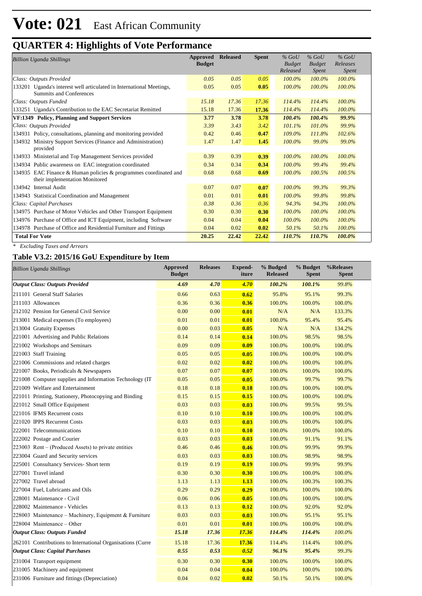| <b>Billion Uganda Shillings</b>                                                                        | Approved<br><b>Budget</b> | <b>Released</b> | <b>Spent</b> | $%$ GoU<br><b>Budget</b><br>Released | $%$ GoU<br><b>Budget</b><br>Spent | $%$ GoU<br>Releases<br>Spent |
|--------------------------------------------------------------------------------------------------------|---------------------------|-----------------|--------------|--------------------------------------|-----------------------------------|------------------------------|
| Class: Outputs Provided                                                                                | 0.05                      | 0.05            | 0.05         | $100.0\%$                            | $100.0\%$                         | 100.0%                       |
| 133201 Uganda's interest well articulated in International Meetings,<br><b>Summits and Conferences</b> | 0.05                      | 0.05            | 0.05         | $100.0\%$                            | $100.0\%$                         | 100.0%                       |
| Class: Outputs Funded                                                                                  | 15.18                     | 17.36           | 17.36        | 114.4%                               | 114.4%                            | 100.0%                       |
| 133251 Uganda's Contribution to the EAC Secretariat Remitted                                           | 15.18                     | 17.36           | 17.36        | 114.4%                               | 114.4%                            | 100.0%                       |
| VF:1349 Policy, Planning and Support Services                                                          | 3.77                      | 3.78            | 3.78         | 100.4%                               | 100.4%                            | 99.9%                        |
| Class: Outputs Provided                                                                                | 3.39                      | 3.43            | 3.42         | 101.1%                               | 101.0%                            | 99.9%                        |
| 134931 Policy, consultations, planning and monitoring provided                                         | 0.42                      | 0.46            | 0.47         | 109.0%                               | 111.8%                            | 102.6%                       |
| Ministry Support Services (Finance and Administration)<br>134932<br>provided                           | 1.47                      | 1.47            | 1.45         | 100.0%                               | 99.0%                             | 99.0%                        |
| 134933 Ministerial and Top Management Services provided                                                | 0.39                      | 0.39            | 0.39         | $100.0\%$                            | 100.0%                            | 100.0%                       |
| 134934 Public awareness on EAC integration coordinated                                                 | 0.34                      | 0.34            | 0.34         | $100.0\%$                            | 99.4%                             | 99.4%                        |
| 134935 EAC Finance & Human policies & programmes coordinated and<br>their implementation Monitored     | 0.68                      | 0.68            | 0.69         | $100.0\%$                            | 100.5%                            | 100.5%                       |
| 134942<br><b>Internal Audit</b>                                                                        | 0.07                      | 0.07            | 0.07         | $100.0\%$                            | 99.3%                             | 99.3%                        |
| 134943 Statistical Coordination and Management                                                         | 0.01                      | 0.01            | 0.01         | $100.0\%$                            | 99.8%                             | 99.8%                        |
| Class: Capital Purchases                                                                               | 0.38                      | 0.36            | 0.36         | 94.3%                                | 94.3%                             | 100.0%                       |
| 134975 Purchase of Motor Vehicles and Other Transport Equipment                                        | 0.30                      | 0.30            | 0.30         | $100.0\%$                            | 100.0%                            | 100.0%                       |
| 134976 Purchase of Office and ICT Equipment, including Software                                        | 0.04                      | 0.04            | 0.04         | 100.0%                               | 100.0%                            | 100.0%                       |
| 134978 Purchase of Office and Residential Furniture and Fittings                                       | 0.04                      | 0.02            | 0.02         | 50.1%                                | 50.1%                             | 100.0%                       |
| <b>Total For Vote</b>                                                                                  | 20.25                     | 22.42           | 22.42        | 110.7%                               | 110.7%                            | 100.0%                       |

*\* Excluding Taxes and Arrears*

#### **Table V3.2: 2015/16 GoU Expenditure by Item**

| <b>Billion Uganda Shillings</b>                            | <b>Approved</b><br><b>Budget</b> | <b>Releases</b> | <b>Expend-</b><br>iture | % Budged<br><b>Released</b> | % Budget<br><b>Spent</b> | %Releases<br><b>Spent</b> |
|------------------------------------------------------------|----------------------------------|-----------------|-------------------------|-----------------------------|--------------------------|---------------------------|
| <b>Output Class: Outputs Provided</b>                      | 4.69                             | 4.70            | 4.70                    | 100.2%                      | 100.1%                   | 99.8%                     |
| 211101 General Staff Salaries                              | 0.66                             | 0.63            | 0.62                    | 95.8%                       | 95.1%                    | 99.3%                     |
| 211103 Allowances                                          | 0.36                             | 0.36            | 0.36                    | 100.0%                      | 100.0%                   | 100.0%                    |
| 212102 Pension for General Civil Service                   | 0.00                             | 0.00            | 0.01                    | N/A                         | N/A                      | 133.3%                    |
| 213001 Medical expenses (To employees)                     | 0.01                             | 0.01            | 0.01                    | 100.0%                      | 95.4%                    | 95.4%                     |
| 213004 Gratuity Expenses                                   | 0.00                             | 0.03            | 0.05                    | N/A                         | N/A                      | 134.2%                    |
| 221001 Advertising and Public Relations                    | 0.14                             | 0.14            | 0.14                    | 100.0%                      | 98.5%                    | 98.5%                     |
| 221002 Workshops and Seminars                              | 0.09                             | 0.09            | 0.09                    | 100.0%                      | 100.0%                   | 100.0%                    |
| 221003 Staff Training                                      | 0.05                             | 0.05            | 0.05                    | 100.0%                      | 100.0%                   | 100.0%                    |
| 221006 Commissions and related charges                     | 0.02                             | 0.02            | 0.02                    | 100.0%                      | 100.0%                   | 100.0%                    |
| 221007 Books, Periodicals & Newspapers                     | 0.07                             | 0.07            | 0.07                    | 100.0%                      | 100.0%                   | 100.0%                    |
| 221008 Computer supplies and Information Technology (IT    | 0.05                             | 0.05            | 0.05                    | 100.0%                      | 99.7%                    | 99.7%                     |
| 221009 Welfare and Entertainment                           | 0.18                             | 0.18            | 0.18                    | 100.0%                      | 100.0%                   | 100.0%                    |
| 221011 Printing, Stationery, Photocopying and Binding      | 0.15                             | 0.15            | 0.15                    | 100.0%                      | 100.0%                   | 100.0%                    |
| 221012 Small Office Equipment                              | 0.03                             | 0.03            | 0.03                    | 100.0%                      | 99.5%                    | 99.5%                     |
| 221016 IFMS Recurrent costs                                | 0.10                             | 0.10            | 0.10                    | 100.0%                      | 100.0%                   | 100.0%                    |
| 221020 IPPS Recurrent Costs                                | 0.03                             | 0.03            | 0.03                    | 100.0%                      | 100.0%                   | 100.0%                    |
| 222001 Telecommunications                                  | 0.10                             | 0.10            | 0.10                    | 100.0%                      | 100.0%                   | 100.0%                    |
| 222002 Postage and Courier                                 | 0.03                             | 0.03            | 0.03                    | 100.0%                      | 91.1%                    | 91.1%                     |
| 223003 Rent – (Produced Assets) to private entities        | 0.46                             | 0.46            | 0.46                    | 100.0%                      | 99.9%                    | 99.9%                     |
| 223004 Guard and Security services                         | 0.03                             | 0.03            | 0.03                    | 100.0%                      | 98.9%                    | 98.9%                     |
| 225001 Consultancy Services- Short term                    | 0.19                             | 0.19            | 0.19                    | 100.0%                      | 99.9%                    | 99.9%                     |
| 227001 Travel inland                                       | 0.30                             | 0.30            | 0.30                    | 100.0%                      | 100.0%                   | 100.0%                    |
| 227002 Travel abroad                                       | 1.13                             | 1.13            | 1.13                    | 100.0%                      | 100.3%                   | 100.3%                    |
| 227004 Fuel, Lubricants and Oils                           | 0.29                             | 0.29            | 0.29                    | 100.0%                      | 100.0%                   | 100.0%                    |
| 228001 Maintenance - Civil                                 | 0.06                             | 0.06            | 0.05                    | 100.0%                      | 100.0%                   | 100.0%                    |
| 228002 Maintenance - Vehicles                              | 0.13                             | 0.13            | 0.12                    | 100.0%                      | 92.0%                    | 92.0%                     |
| 228003 Maintenance - Machinery, Equipment & Furniture      | 0.03                             | 0.03            | 0.03                    | 100.0%                      | 95.1%                    | 95.1%                     |
| 228004 Maintenance – Other                                 | 0.01                             | 0.01            | 0.01                    | 100.0%                      | 100.0%                   | 100.0%                    |
| <b>Output Class: Outputs Funded</b>                        | 15.18                            | 17.36           | 17.36                   | 114.4%                      | 114.4%                   | 100.0%                    |
| 262101 Contributions to International Organisations (Curre | 15.18                            | 17.36           | 17.36                   | 114.4%                      | 114.4%                   | 100.0%                    |
| <b>Output Class: Capital Purchases</b>                     | 0.55                             | 0.53            | 0.52                    | 96.1%                       | 95.4%                    | 99.3%                     |
| 231004 Transport equipment                                 | 0.30                             | 0.30            | 0.30                    | 100.0%                      | 100.0%                   | 100.0%                    |
| 231005 Machinery and equipment                             | 0.04                             | 0.04            | 0.04                    | 100.0%                      | 100.0%                   | 100.0%                    |
| 231006 Furniture and fittings (Depreciation)               | 0.04                             | 0.02            | 0.02                    | 50.1%                       | 50.1%                    | 100.0%                    |